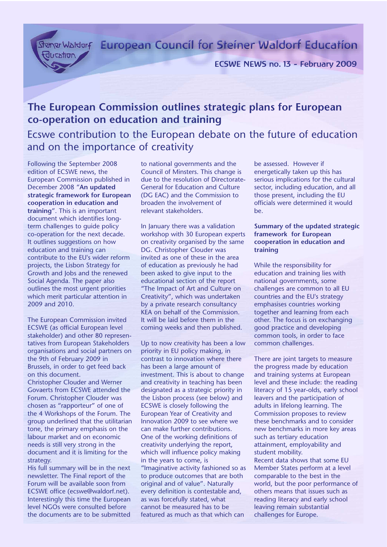Steiner Walderf European Council for Steiner Waldorf Education

ECSWE NEWS no. 13 - February 2009

# **The European Commission outlines strategic plans for European co-operation on education and training**

Ecswe contribution to the European debate on the future of education and on the importance of creativity

Following the September 2008 edition of ECSWE news, the European Commission published in December 2008 "**An updated strategic framework for European cooperation in education and training**". This is an important document which identifies longterm challenges to guide policy co-operation for the next decade. It outlines suggestions on how education and training can contribute to the EU's wider reform projects, the Lisbon Strategy for Growth and Jobs and the renewed Social Agenda. The paper also outlines the most urgent priorities which merit particular attention in 2009 and 2010.

The European Commission invited ECSWE (as official European level stakeholder) and other 80 representatives from European Stakeholders organisations and social partners on the 9th of February 2009 in Brussels, in order to get feed back on this document. Christopher Clouder and Werner

Govaerts from ECSWE attended the Forum. Christopher Clouder was chosen as "rapporteur" of one of the 4 Workshops of the Forum. The group underlined that the utilitarian tone, the primary emphasis on the labour market and on economic needs is still very strong in the document and it is limiting for the strategy.

His full summary will be in the next newsletter. The Final report of the Forum will be available soon from ECSWE office (ecswe@waldorf.net). Interestingly this time the European level NGOs were consulted before the documents are to be submitted

to national governments and the Council of Minsters. This change is due to the resolution of Directorate-General for Education and Culture (DG EAC) and the Commission to broaden the involvement of relevant stakeholders.

In January there was a validation workshop with 30 European experts on creativity organised by the same DG. Christopher Clouder was invited as one of these in the area of education as previously he had been asked to give input to the educational section of the report "The Impact of Art and Culture on Creativity", which was undertaken by a private research consultancy KEA on behalf of the Commission. It will be laid before them in the coming weeks and then published.

Up to now creativity has been a low priority in EU policy making, in contrast to innovation where there has been a large amount of investment. This is about to change and creativity in teaching has been designated as a strategic priority in the Lisbon process (see below) and ECSWE is closely following the European Year of Creativity and Innovation 2009 to see where we can make further contributions. One of the working definitions of creativity underlying the report, which will influence policy making in the years to come, is "Imaginative activity fashioned so as to produce outcomes that are both original and of value". Naturally every definition is contestable and, as was forcefully stated, what cannot be measured has to be featured as much as that which can

be assessed. However if energetically taken up this has serious implications for the cultural sector, including education, and all those present, including the EU officials were determined it would be.

## **Summary of the updated strategic framework for European cooperation in education and training**

While the responsibility for education and training lies with national governments, some challenges are common to all EU countries and the EU's strategy emphasises countries working together and learning from each other. The focus is on exchanging good practice and developing common tools, in order to face common challenges.

There are joint targets to measure the progress made by education and training systems at European level and these include: the reading literacy of 15 year-olds, early school leavers and the participation of adults in lifelong learning. The Commission proposes to review these benchmarks and to consider new benchmarks in more key areas such as tertiary education attainment, employability and student mobility. Recent data shows that some EU Member States perform at a level comparable to the best in the world, but the poor performance of others means that issues such as reading literacy and early school leaving remain substantial challenges for Europe.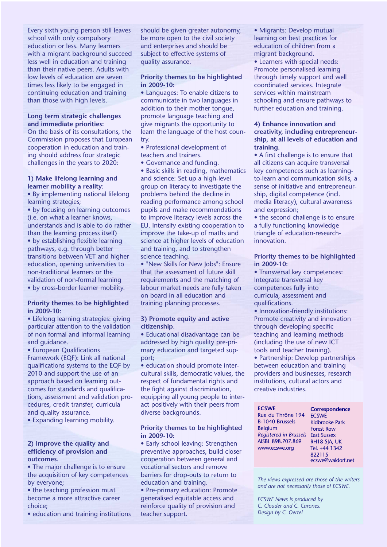Every sixth young person still leaves school with only compulsory education or less. Many learners with a migrant background succeed less well in education and training than their native peers. Adults with low levels of education are seven times less likely to be engaged in continuing education and training than those with high levels.

#### **Long term strategic challenges and immediate priorities:**

On the basis of its consultations, the Commission proposes that European cooperation in education and training should address four strategic challenges in the years to 2020:

#### **1) Make lifelong learning and learner mobility a reality**:

• By implementing national lifelong learning strategies;

• by focusing on learning outcomes (i.e. on what a learner knows, understands and is able to do rather than the learning process itself) • by establishing flexible learning pathways, e.g. through better transitions between VET and higher education, opening universities to non-traditional learners or the validation of non-formal learning • by cross-border learner mobility.

## **Priority themes to be highlighted in 2009-10:**

• Lifelong learning strategies: giving particular attention to the validation of non formal and informal learning and guidance.

• European Qualifications Framework (EQF): Link all national qualifications systems to the EQF by 2010 and support the use of an approach based on learning outcomes for standards and qualifications, assessment and validation procedures, credit transfer, curricula and quality assurance.

• Expanding learning mobility.

## **2) Improve the quality and efficiency of provision and outcomes.**

• The major challenge is to ensure the acquisition of key competences by everyone;

- the teaching profession must become a more attractive career choice;
- education and training institutions

should be given greater autonomy, be more open to the civil society and enterprises and should be subject to effective systems of quality assurance.

## **Priority themes to be highlighted in 2009-10:**

• Languages: To enable citizens to communicate in two languages in addition to their mother tongue, promote language teaching and give migrants the opportunity to learn the language of the host country.

• Professional development of teachers and trainers.

• Governance and funding.

• Basic skills in reading, mathematics and science: Set up a high-level group on literacy to investigate the problems behind the decline in reading performance among school pupils and make recommendations to improve literacy levels across the EU. Intensify existing cooperation to improve the take-up of maths and science at higher levels of education and training, and to strengthen science teaching.

• "New Skills for New Jobs": Ensure that the assessment of future skill requirements and the matching of labour market needs are fully taken on board in all education and training planning processes.

### **3) Promote equity and active citizenship**.

• Educational disadvantage can be addressed by high quality pre-primary education and targeted support;

• education should promote intercultural skills, democratic values, the respect of fundamental rights and the fight against discrimination, equipping all young people to interact positively with their peers from diverse backgrounds.

## **Priority themes to be highlighted in 2009-10:**

• Early school leaving: Strengthen preventive approaches, build closer cooperation between general and vocational sectors and remove barriers for drop-outs to return to education and training.

• Pre-primary education: Promote generalised equitable access and reinforce quality of provision and teacher support.

• Migrants: Develop mutual learning on best practices for education of children from a migrant background.

• Learners with special needs: Promote personalised learning through timely support and well coordinated services. Integrate services within mainstream schooling and ensure pathways to further education and training.

## **4) Enhance innovation and creativity, including entrepreneurship, at all levels of education and training.**

• A first challenge is to ensure that all citizens can acquire transversal key competences such as learningto-learn and communication skills, a sense of initiative and entrepreneurship, digital competence (incl. media literacy), cultural awareness and expression;

• the second challenge is to ensure a fully functioning knowledge triangle of education-researchinnovation.

## **Priority themes to be highlighted in 2009-10:**

• Transversal key competences: Integrate transversal key competences fully into curricula, assessment and qualifications.

• Innovation-friendly institutions: Promote creativity and innovation through developing specific teaching and learning methods (including the use of new ICT tools and teacher training). • Partnership: Develop partnerships between education and training providers and businesses, research institutions, cultural actors and creative industries.

**ECSWE** Rue du Thrône 194 B-1040 Brussels Belgium *Registered in Brussels*  East Sussex AISBL 898.707.869 www.ecswe.org

**Correspondence ECSWE** Kidbrooke Park Forest Row RH18 5JA, UK Tel. +44 1342 822115 ecswe@waldorf.net

*The views expressed are those of the writers and are not necessarily those of ECSWE.*

*ECSWE News is produced by C. Clouder and C. Carones. Design by C. Oertel*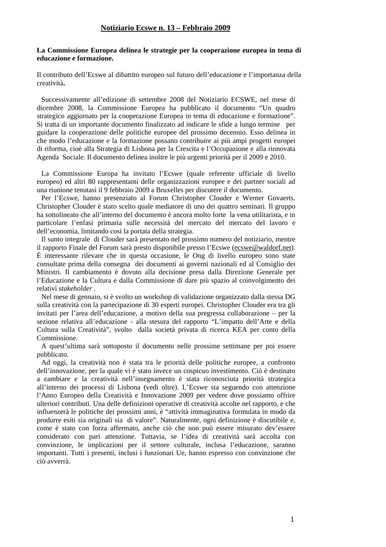## **La Commissione Europea delinea le strategie per la cooperazione europea in tema di educazione e formazione.**

Il contributo dell'Ecswe al dibattito europeo sul futuro dell'educazione e l'importanza della creatività**.** 

Successivamente all'edizione di settembre 2008 del Notiziario ECSWE, nel mese di dicembre 2008, la Commissione Europea ha pubblicato il documento "Un quadro strategico aggiornato per la cooperazione Europea in tema di educazione e formazione". Si tratta di un importante documento finalizzato ad indicare le sfide a lungo termine per guidare la cooperazione delle politiche europee del prossimo decennio. Esso delinea in che modo l'educazione e la formazione possano contribuire ai più ampi progetti europei di riforma, cioè alla Strategia di Lisbona per la Crescita e l'Occupazione e alla rinnovata Agenda Sociale. Il documento delinea inoltre le più urgenti priorità per il 2009 e 2010.

La Commissione Europa ha invitato l'Ecswe (quale referente ufficiale di livello europeo) ed altri 80 rappresentanti delle organizzazioni europee e dei partner sociali ad una riunione tenutasi il 9 febbraio 2009 a Bruxelles per discutere il documento.

Per l'Ecswe, hanno presenziato al Forum Christopher Clouder e Werner Govaerts. Christopher Clouder è stato scelto quale mediatore di uno dei quattro seminari. Il gruppo ha sottolineato che all'interno del documento è ancora molto forte la vena utilitarista, e in particolare l'enfasi primaria sulle necessità del mercato del mercato del lavoro e dell'economia, limitando così la portata della strategia.

Il sunto integrale di Clouder sarà presentato nel prossimo numero del notiziario, mentre il rapporto Finale del Forum sarà presto disponibile presso l'Ecswe (ecswe@waldorf.net). È interessante rilevare che in questa occasione, le Ong di livello europeo sono state consultate prima della consegna dei documenti ai governi nazionali ed al Consiglio dei Ministri. Il cambiamento è dovuto alla decisione presa dalla Direzione Generale per l'Educazione e la Cultura e dalla Commissione di dare più spazio al coinvolgimento dei relativi *stakeholder* .

Nel mese di gennaio, si è svolto un workshop di validazione organizzato dalla stessa DG sulla creatività con la partecipazione di 30 esperti europei. Christopher Clouder era tra gli invitati per l'area dell'educazione, a motivo della sua pregressa collaborazione – per la sezione relativa all'educazione - alla stesura del rapporto "L'impatto dell'Arte e della Cultura sulla Creatività", svolto dalla società privata di ricerca KEA per conto della Commissione.

A quest'ultima sarà sottoposto il documento nelle prossime settimane per poi essere pubblicato.

Ad oggi, la creatività non è stata tra le priorità delle politiche europee, a confronto dell'innovazione, per la quale vi è stato invece un cospicuo investimento. Ciò è destinato a cambiare e la creatività nell'insegnamento è stata riconosciuta priorità strategica all'interno dei processi di Lisbona (vedi oltre). L'Ecswe sta seguendo con attenzione l'Anno Europeo della Creatività e Innovazione 2009 per vedere dove possiamo offrire ulteriori contributi. Una delle definizioni operative di creatività accolte nel rapporto, e che influenzerà le politiche dei prossimi anni, è "attività immaginativa formulata in modo da produrre esiti sia originali sia di valore". Naturalmente, ogni definizione è discutibile e, come è stato con forza affermato, anche ciò che non può essere misurato dev'essere considerato con pari attenzione. Tuttavia, se l'idea di creatività sarà accolta con convinzione, le implicazioni per il settore culturale, inclusa l'educazione, saranno importanti. Tutti i presenti, inclusi i funzionari Ue, hanno espresso con convinzione che ciò avverrà.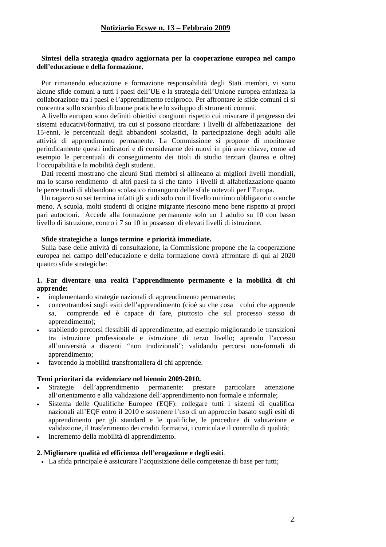## **Sintesi della strategia quadro aggiornata per la cooperazione europea nel campo dell'educazione e della formazione.**

Pur rimanendo educazione e formazione responsabilità degli Stati membri, vi sono alcune sfide comuni a tutti i paesi dell'UE e la strategia dell'Unione europea enfatizza la collaborazione tra i paesi e l'apprendimento reciproco. Per affrontare le sfide comuni ci si concentra sullo scambio di buone pratiche e lo sviluppo di strumenti comuni.

A livello europeo sono definiti obiettivi congiunti rispetto cui misurare il progresso dei sistemi educativi/formativi, tra cui si possono ricordare: i livelli di alfabetizzazione dei 15-enni, le percentuali degli abbandoni scolastici, la partecipazione degli adulti alle attività di apprendimento permanente. La Commissione si propone di monitorare periodicamente questi indicatori e di considerarne dei nuovi in più aree chiave, come ad esempio le percentuali di conseguimento dei titoli di studio terziari (laurea e oltre) l'occupabilità e la mobilità degli studenti.

Dati recenti mostrano che alcuni Stati membri si allineano ai migliori livelli mondiali, ma lo scarso rendimento di altri paesi fa sì che tanto i livelli di alfabetizzazione quanto le percentuali di abbandono scolastico rimangono delle sfide notevoli per l'Europa.

Un ragazzo su sei termina infatti gli studi solo con il livello minimo obbligatorio o anche meno. A scuola, molti studenti di origine migrante riescono meno bene rispetto ai propri pari autoctoni. Accede alla formazione permanente solo un 1 adulto su 10 con basso livello di istruzione, contro i 7 su 10 in possesso di elevati livelli di istruzione.

### **Sfide strategiche a lungo termine e priorità immediate.**

Sulla base delle attività di consultazione, la Commissione propone che la cooperazione europea nel campo dell'educazione e della formazione dovrà affrontare di qui al 2020 quattro sfide strategiche:

## **1. Far diventare una realtà l'apprendimento permanente e la mobilità di chi apprende:**

- implementando strategie nazionali di apprendimento permanente;
- concentrandosi sugli esiti dell'apprendimento (cioè su che cosa colui che apprende sa, comprende ed è capace di fare, piuttosto che sul processo stesso di apprendimento);
- stabilendo percorsi flessibili di apprendimento, ad esempio migliorando le transizioni tra istruzione professionale e istruzione di terzo livello; aprendo l'accesso all'università a discenti "non tradizionali"; validando percorsi non-formali di apprendimento;
- favorendo la mobilità transfrontaliera di chi apprende.

### **Temi prioritari da evidenziare nel biennio 2009-2010.**

- Strategie dell'apprendimento permanente: prestare particolare attenzione all'orientamento e alla validazione dell'apprendimento non formale e informale;
- Sistema delle Qualifiche Europee (EQF): collegare tutti i sistemi di qualifica nazionali all'EQF entro il 2010 e sostenere l'uso di un approccio basato sugli esiti di apprendimento per gli standard e le qualifiche, le procedure di valutazione e validazione, il trasferimento dei crediti formativi, i curricula e il controllo di qualità;
- Incremento della mobilità di apprendimento.

#### **2. Migliorare qualità ed efficienza dell'erogazione e degli esiti**.

• La sfida principale è assicurare l'acquisizione delle competenze di base per tutti;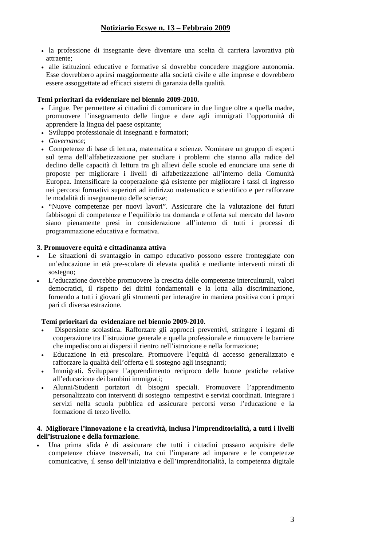- la professione di insegnante deve diventare una scelta di carriera lavorativa più attraente;
- alle istituzioni educative e formative si dovrebbe concedere maggiore autonomia. Esse dovrebbero aprirsi maggiormente alla società civile e alle imprese e dovrebbero essere assoggettate ad efficaci sistemi di garanzia della qualità.

## **Temi prioritari da evidenziare nel biennio 2009-2010.**

- Lingue. Per permettere ai cittadini di comunicare in due lingue oltre a quella madre, promuovere l'insegnamento delle lingue e dare agli immigrati l'opportunità di apprendere la lingua del paese ospitante;
- Sviluppo professionale di insegnanti e formatori;
- *Governance*;
- Competenze di base di lettura, matematica e scienze. Nominare un gruppo di esperti sul tema dell'alfabetizzazione per studiare i problemi che stanno alla radice del declino delle capacità di lettura tra gli allievi delle scuole ed enunciare una serie di proposte per migliorare i livelli di alfabetizzazione all'interno della Comunità Europea. Intensificare la cooperazione già esistente per migliorare i tassi di ingresso nei percorsi formativi superiori ad indirizzo matematico e scientifico e per rafforzare le modalità di insegnamento delle scienze;
- "Nuove competenze per nuovi lavori". Assicurare che la valutazione dei futuri fabbisogni di competenze e l'equilibrio tra domanda e offerta sul mercato del lavoro siano pienamente presi in considerazione all'interno di tutti i processi di programmazione educativa e formativa.

## **3. Promuovere equità e cittadinanza attiva**

- Le situazioni di svantaggio in campo educativo possono essere fronteggiate con un'educazione in età pre-scolare di elevata qualità e mediante interventi mirati di sostegno;
- L'educazione dovrebbe promuovere la crescita delle competenze interculturali, valori democratici, il rispetto dei diritti fondamentali e la lotta alla discriminazione, fornendo a tutti i giovani gli strumenti per interagire in maniera positiva con i propri pari di diversa estrazione.

## **Temi prioritari da evidenziare nel biennio 2009-2010.**

- Dispersione scolastica. Rafforzare gli approcci preventivi, stringere i legami di cooperazione tra l'istruzione generale e quella professionale e rimuovere le barriere che impediscono ai dispersi il rientro nell'istruzione e nella formazione;
- Educazione in età prescolare. Promuovere l'equità di accesso generalizzato e rafforzare la qualità dell'offerta e il sostegno agli insegnanti;
- Immigrati. Sviluppare l'apprendimento reciproco delle buone pratiche relative all'educazione dei bambini immigrati;
- Alunni/Studenti portatori di bisogni speciali. Promuovere l'apprendimento personalizzato con interventi di sostegno tempestivi e servizi coordinati. Integrare i servizi nella scuola pubblica ed assicurare percorsi verso l'educazione e la formazione di terzo livello.

## **4. Migliorare l'innovazione e la creatività, inclusa l'imprenditorialità, a tutti i livelli dell'istruzione e della formazione**.

• Una prima sfida è di assicurare che tutti i cittadini possano acquisire delle competenze chiave trasversali, tra cui l'imparare ad imparare e le competenze comunicative, il senso dell'iniziativa e dell'imprenditorialità, la competenza digitale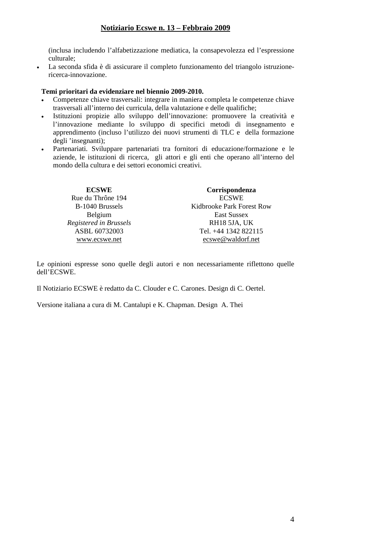(inclusa includendo l'alfabetizzazione mediatica, la consapevolezza ed l'espressione culturale;

• La seconda sfida è di assicurare il completo funzionamento del triangolo istruzionericerca-innovazione.

## **Temi prioritari da evidenziare nel biennio 2009-2010.**

- Competenze chiave trasversali: integrare in maniera completa le competenze chiave trasversali all'interno dei curricula, della valutazione e delle qualifiche;
- Istituzioni propizie allo sviluppo dell'innovazione: promuovere la creatività e l'innovazione mediante lo sviluppo di specifici metodi di insegnamento e apprendimento (incluso l'utilizzo dei nuovi strumenti di TLC e della formazione degli 'insegnanti);
- Partenariati. Sviluppare partenariati tra fornitori di educazione/formazione e le aziende, le istituzioni di ricerca, gli attori e gli enti che operano all'interno del mondo della cultura e dei settori economici creativi.

| <b>ECSWE</b>           | Corrispondenza            |
|------------------------|---------------------------|
| Rue du Thrône 194      | <b>ECSWE</b>              |
| B-1040 Brussels        | Kidbrooke Park Forest Row |
| Belgium                | East Sussex               |
| Registered in Brussels | RH18 5JA, UK              |
| ASBL 60732003          | Tel. +44 1342 822115      |
| www.ecswe.net          | ecswe@waldorf.net         |

Le opinioni espresse sono quelle degli autori e non necessariamente riflettono quelle dell'ECSWE.

Il Notiziario ECSWE è redatto da C. Clouder e C. Carones. Design di C. Oertel.

Versione italiana a cura di M. Cantalupi e K. Chapman. Design A. Thei